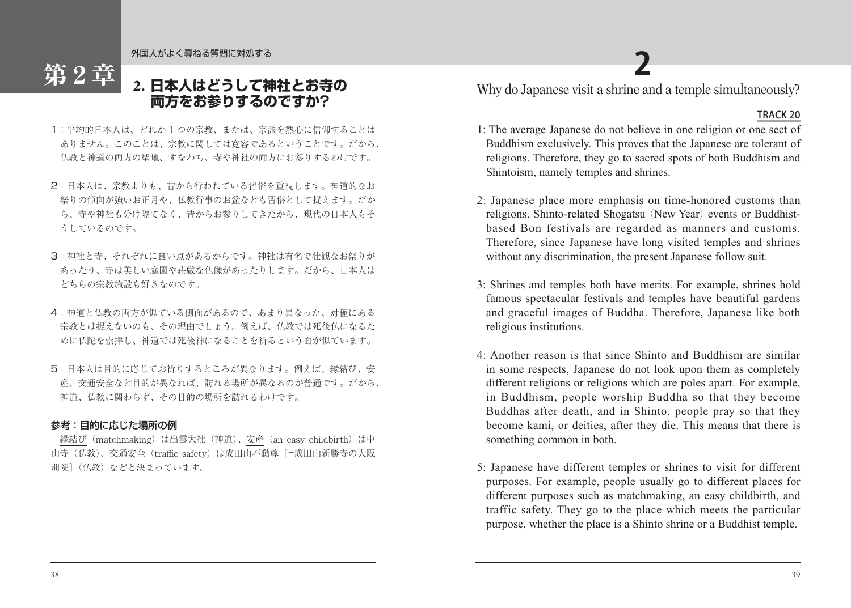外国人がよく尋ねる質問に対処する

# **2. 日本人はどうして神社とお寺の 両方をお参りするのですか?**

- 1:平均的日本人は、どれか 1 つの宗教、または、宗派を熱心に信仰することは ありません。このことは、宗教に関しては寛容であるということです。だから、 仏教と神道の両方の聖地、すなわち、寺や神社の両方にお参りするわけです。
- 2:日本人は、宗教よりも、昔から行われている習俗を重視します。神道的なお 祭りの傾向が強いお正月や、仏教行事のお盆なども習俗として捉えます。だか ら、寺や神社も分け隔てなく、昔からお参りしてきたから、現代の日本人もそ うしているのです。
- 3:神社と寺、それぞれに良い点があるからです。神社は有名で壮観なお祭りが あったり、寺は美しい庭園や荘厳な仏像があったりします。だから、日本人は どちらの宗教施設も好きなのです。
- 4:神道と仏教の両方が似ている側面があるので、あまり異なった、対極にある 宗教とは捉えないのも、その理由でしょう。例えば、仏教では死後仏になるた めに仏陀を崇拝し、神道では死後神になることを祈るという面が似ています。
- 5:日本人は目的に応じてお祈りするところが異なります。例えば、縁結び、安 産、交通安全など目的が異なれば、訪れる場所が異なるのが普通です。だから、 神道、仏教に関わらず、その目的の場所を訪れるわけです。

## 参考:目的に応じた場所の例

第2章

縁結び (matchmaking) は出雲大社 (神道)、安産 (an easy childbirth) は中 山寺(仏教)、交通安全(traffic safety)は成田山不動尊[=成田山新勝寺の大阪 別院](仏教)などと決まっています。

Why do Japanese visit a shrine and a temple simultaneously? **2**

## TRACK 20

- 1: The average Japanese do not believe in one religion or one sect of Buddhism exclusively. This proves that the Japanese are tolerant of religions. Therefore, they go to sacred spots of both Buddhism and Shintoism, namely temples and shrines.
- 2: Japanese place more emphasis on time-honored customs than religions. Shinto-related Shogatsu (New Year) events or Buddhistbased Bon festivals are regarded as manners and customs. Therefore, since Japanese have long visited temples and shrines without any discrimination, the present Japanese follow suit.
- 3: Shrines and temples both have merits. For example, shrines hold famous spectacular festivals and temples have beautiful gardens and graceful images of Buddha. Therefore, Japanese like both religious institutions.
- 4: Another reason is that since Shinto and Buddhism are similar in some respects, Japanese do not look upon them as completely different religions or religions which are poles apart. For example, in Buddhism, people worship Buddha so that they become Buddhas after death, and in Shinto, people pray so that they become kami, or deities, after they die. This means that there is something common in both.
- 5: Japanese have different temples or shrines to visit for different purposes. For example, people usually go to different places for different purposes such as matchmaking, an easy childbirth, and traffic safety. They go to the place which meets the particular purpose, whether the place is a Shinto shrine or a Buddhist temple.